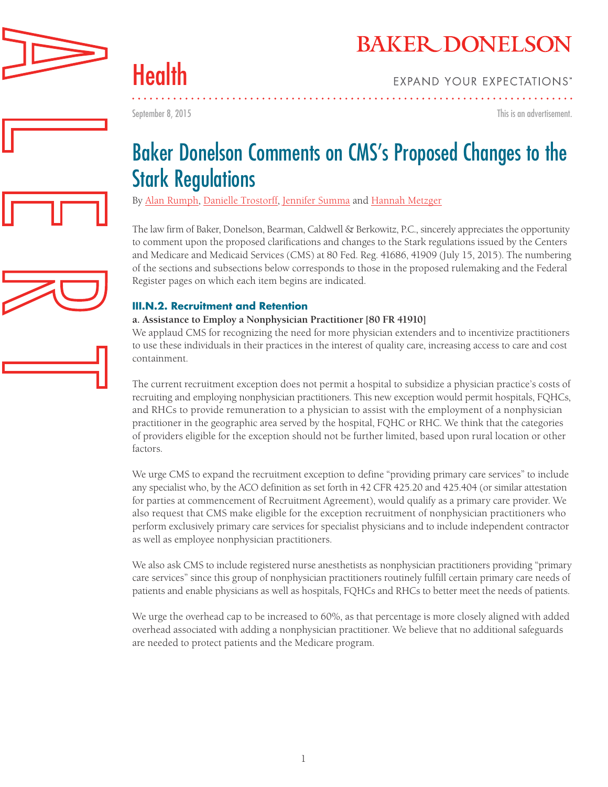



Health

September 8, 2015

This is an advertisement.



By [Alan Rumph,](http://www.bakerdonelson.com/alan-h-rumph/) [Danielle Trostorff,](http://www.bakerdonelson.com/danielle-trostorff/) [Jennifer Summa](http://www.bakerdonelson.com/jennifer-m-summa/) and [Hannah Metzger](http://www.bakerdonelson.com/hannah-m-metzger/)

The law firm of Baker, Donelson, Bearman, Caldwell & Berkowitz, P.C., sincerely appreciates the opportunity to comment upon the proposed clarifications and changes to the Stark regulations issued by the Centers and Medicare and Medicaid Services (CMS) at 80 Fed. Reg. 41686, 41909 (July 15, 2015). The numbering of the sections and subsections below corresponds to those in the proposed rulemaking and the Federal Register pages on which each item begins are indicated.

### **III.N.2. Recruitment and Retention**

#### **a. Assistance to Employ a Nonphysician Practitioner [80 FR 41910]**

We applaud CMS for recognizing the need for more physician extenders and to incentivize practitioners to use these individuals in their practices in the interest of quality care, increasing access to care and cost containment.

The current recruitment exception does not permit a hospital to subsidize a physician practice's costs of recruiting and employing nonphysician practitioners. This new exception would permit hospitals, FQHCs, and RHCs to provide remuneration to a physician to assist with the employment of a nonphysician practitioner in the geographic area served by the hospital, FQHC or RHC. We think that the categories of providers eligible for the exception should not be further limited, based upon rural location or other factors.

We urge CMS to expand the recruitment exception to define "providing primary care services" to include any specialist who, by the ACO definition as set forth in 42 CFR 425.20 and 425.404 (or similar attestation for parties at commencement of Recruitment Agreement), would qualify as a primary care provider. We also request that CMS make eligible for the exception recruitment of nonphysician practitioners who perform exclusively primary care services for specialist physicians and to include independent contractor as well as employee nonphysician practitioners.

We also ask CMS to include registered nurse anesthetists as nonphysician practitioners providing "primary care services" since this group of nonphysician practitioners routinely fulfill certain primary care needs of patients and enable physicians as well as hospitals, FQHCs and RHCs to better meet the needs of patients.

We urge the overhead cap to be increased to 60%, as that percentage is more closely aligned with added overhead associated with adding a nonphysician practitioner. We believe that no additional safeguards are needed to protect patients and the Medicare program.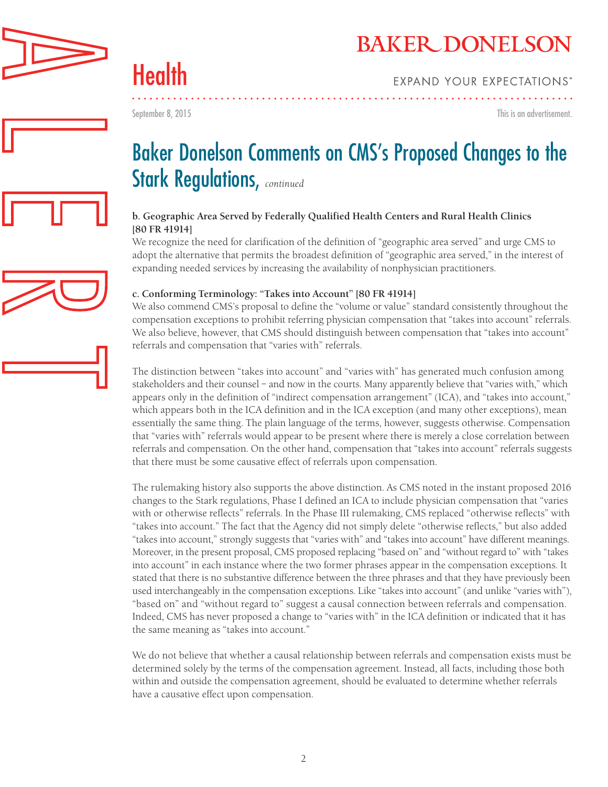

Health

September 8, 2015

This is an advertisement.

# Baker Donelson Comments on CMS's Proposed Changes to the Stark Regulations, *continued*

#### **b. Geographic Area Served by Federally Qualified Health Centers and Rural Health Clinics [80 FR 41914]**

We recognize the need for clarification of the definition of "geographic area served" and urge CMS to adopt the alternative that permits the broadest definition of "geographic area served," in the interest of expanding needed services by increasing the availability of nonphysician practitioners.

#### **c. Conforming Terminology: "Takes into Account" [80 FR 41914]**

We also commend CMS's proposal to define the "volume or value" standard consistently throughout the compensation exceptions to prohibit referring physician compensation that "takes into account" referrals. We also believe, however, that CMS should distinguish between compensation that "takes into account" referrals and compensation that "varies with" referrals.

The distinction between "takes into account" and "varies with" has generated much confusion among stakeholders and their counsel – and now in the courts. Many apparently believe that "varies with," which appears only in the definition of "indirect compensation arrangement" (ICA), and "takes into account," which appears both in the ICA definition and in the ICA exception (and many other exceptions), mean essentially the same thing. The plain language of the terms, however, suggests otherwise. Compensation that "varies with" referrals would appear to be present where there is merely a close correlation between referrals and compensation. On the other hand, compensation that "takes into account" referrals suggests that there must be some causative effect of referrals upon compensation.

The rulemaking history also supports the above distinction. As CMS noted in the instant proposed 2016 changes to the Stark regulations, Phase I defined an ICA to include physician compensation that "varies with or otherwise reflects" referrals. In the Phase III rulemaking, CMS replaced "otherwise reflects" with "takes into account." The fact that the Agency did not simply delete "otherwise reflects," but also added "takes into account," strongly suggests that "varies with" and "takes into account" have different meanings. Moreover, in the present proposal, CMS proposed replacing "based on" and "without regard to" with "takes into account" in each instance where the two former phrases appear in the compensation exceptions. It stated that there is no substantive difference between the three phrases and that they have previously been used interchangeably in the compensation exceptions. Like "takes into account" (and unlike "varies with"), "based on" and "without regard to" suggest a causal connection between referrals and compensation. Indeed, CMS has never proposed a change to "varies with" in the ICA definition or indicated that it has the same meaning as "takes into account."

We do not believe that whether a causal relationship between referrals and compensation exists must be determined solely by the terms of the compensation agreement. Instead, all facts, including those both within and outside the compensation agreement, should be evaluated to determine whether referrals have a causative effect upon compensation.

2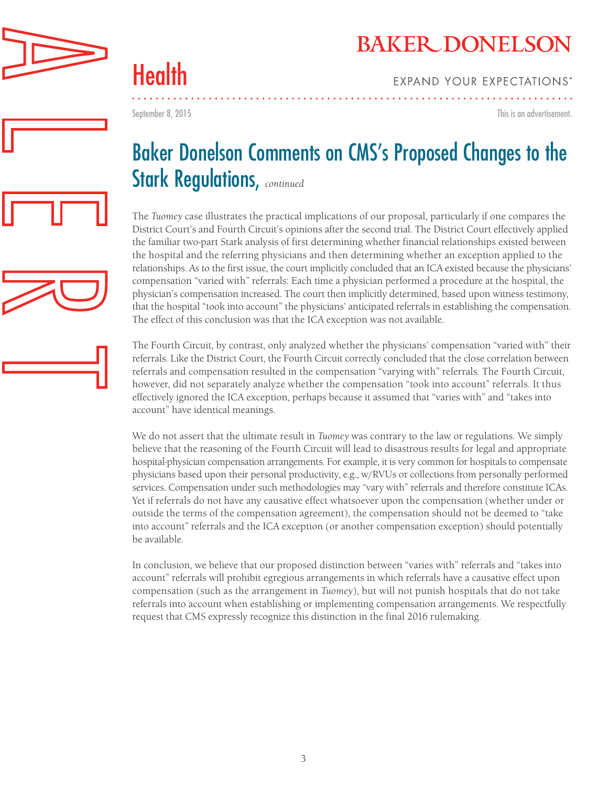

Health

September 8, 2015

This is an advertisement.

# Baker Donelson Comments on CMS's Proposed Changes to the Stark Regulations, *continued*

The *Tuomey* case illustrates the practical implications of our proposal, particularly if one compares the District Court's and Fourth Circuit's opinions after the second trial. The District Court effectively applied the familiar two-part Stark analysis of first determining whether financial relationships existed between the hospital and the referring physicians and then determining whether an exception applied to the relationships. As to the first issue, the court implicitly concluded that an ICA existed because the physicians' compensation "varied with" referrals: Each time a physician performed a procedure at the hospital, the physician's compensation increased. The court then implicitly determined, based upon witness testimony, that the hospital "took into account" the physicians' anticipated referrals in establishing the compensation. The effect of this conclusion was that the ICA exception was not available.

The Fourth Circuit, by contrast, only analyzed whether the physicians' compensation "varied with" their referrals. Like the District Court, the Fourth Circuit correctly concluded that the close correlation between referrals and compensation resulted in the compensation "varying with" referrals. The Fourth Circuit, however, did not separately analyze whether the compensation "took into account" referrals. It thus effectively ignored the ICA exception, perhaps because it assumed that "varies with" and "takes into account" have identical meanings.

We do not assert that the ultimate result in *Tuomey* was contrary to the law or regulations. We simply believe that the reasoning of the Fourth Circuit will lead to disastrous results for legal and appropriate hospital-physician compensation arrangements. For example, it is very common for hospitals to compensate physicians based upon their personal productivity, e.g., w/RVUs or collections from personally performed services. Compensation under such methodologies may "vary with" referrals and therefore constitute ICAs. Yet if referrals do not have any causative effect whatsoever upon the compensation (whether under or outside the terms of the compensation agreement), the compensation should not be deemed to "take into account" referrals and the ICA exception (or another compensation exception) should potentially be available.

In conclusion, we believe that our proposed distinction between "varies with" referrals and "takes into account" referrals will prohibit egregious arrangements in which referrals have a causative effect upon compensation (such as the arrangement in *Tuomey*), but will not punish hospitals that do not take referrals into account when establishing or implementing compensation arrangements. We respectfully request that CMS expressly recognize this distinction in the final 2016 rulemaking.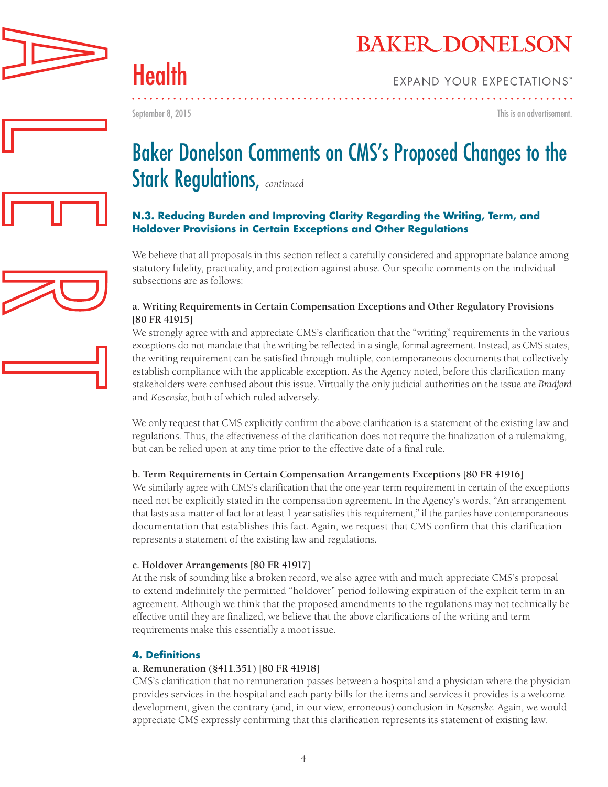

Health

September 8, 2015

This is an advertisement.



### **N.3. Reducing Burden and Improving Clarity Regarding the Writing, Term, and Holdover Provisions in Certain Exceptions and Other Regulations**

We believe that all proposals in this section reflect a carefully considered and appropriate balance among statutory fidelity, practicality, and protection against abuse. Our specific comments on the individual subsections are as follows:

#### **a. Writing Requirements in Certain Compensation Exceptions and Other Regulatory Provisions [80 FR 41915]**

We strongly agree with and appreciate CMS's clarification that the "writing" requirements in the various exceptions do not mandate that the writing be reflected in a single, formal agreement. Instead, as CMS states, the writing requirement can be satisfied through multiple, contemporaneous documents that collectively establish compliance with the applicable exception. As the Agency noted, before this clarification many stakeholders were confused about this issue. Virtually the only judicial authorities on the issue are *Bradford* and *Kosenske*, both of which ruled adversely.

We only request that CMS explicitly confirm the above clarification is a statement of the existing law and regulations. Thus, the effectiveness of the clarification does not require the finalization of a rulemaking, but can be relied upon at any time prior to the effective date of a final rule.

### **b. Term Requirements in Certain Compensation Arrangements Exceptions [80 FR 41916]**

We similarly agree with CMS's clarification that the one-year term requirement in certain of the exceptions need not be explicitly stated in the compensation agreement. In the Agency's words, "An arrangement that lasts as a matter of fact for at least 1 year satisfies this requirement," if the parties have contemporaneous documentation that establishes this fact. Again, we request that CMS confirm that this clarification represents a statement of the existing law and regulations.

#### **c. Holdover Arrangements [80 FR 41917]**

At the risk of sounding like a broken record, we also agree with and much appreciate CMS's proposal to extend indefinitely the permitted "holdover" period following expiration of the explicit term in an agreement. Although we think that the proposed amendments to the regulations may not technically be effective until they are finalized, we believe that the above clarifications of the writing and term requirements make this essentially a moot issue.

### **4. Definitions**

### **a. Remuneration (§411.351) [80 FR 41918]**

CMS's clarification that no remuneration passes between a hospital and a physician where the physician provides services in the hospital and each party bills for the items and services it provides is a welcome development, given the contrary (and, in our view, erroneous) conclusion in *Kosenske*. Again, we would appreciate CMS expressly confirming that this clarification represents its statement of existing law.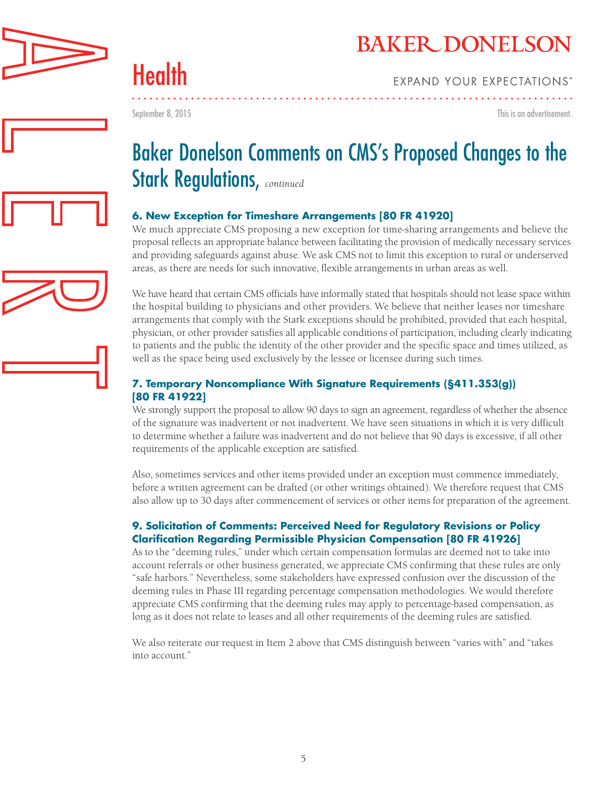

September 8, 2015

Health

This is an advertisement.

# Baker Donelson Comments on CMS's Proposed Changes to the Stark Regulations, *continued*

### **6. New Exception for Timeshare Arrangements [80 FR 41920]**

We much appreciate CMS proposing a new exception for time-sharing arrangements and believe the proposal reflects an appropriate balance between facilitating the provision of medically necessary services and providing safeguards against abuse. We ask CMS not to limit this exception to rural or underserved areas, as there are needs for such innovative, flexible arrangements in urban areas as well.

We have heard that certain CMS officials have informally stated that hospitals should not lease space within the hospital building to physicians and other providers. We believe that neither leases nor timeshare arrangements that comply with the Stark exceptions should be prohibited, provided that each hospital, physician, or other provider satisfies all applicable conditions of participation, including clearly indicating to patients and the public the identity of the other provider and the specific space and times utilized, as well as the space being used exclusively by the lessee or licensee during such times.

### **7. Temporary Noncompliance With Signature Requirements (§411.353(g)) [80 FR 41922]**

We strongly support the proposal to allow 90 days to sign an agreement, regardless of whether the absence of the signature was inadvertent or not inadvertent. We have seen situations in which it is very difficult to determine whether a failure was inadvertent and do not believe that 90 days is excessive, if all other requirements of the applicable exception are satisfied.

Also, sometimes services and other items provided under an exception must commence immediately, before a written agreement can be drafted (or other writings obtained). We therefore request that CMS also allow up to 30 days after commencement of services or other items for preparation of the agreement.

### **9. Solicitation of Comments: Perceived Need for Regulatory Revisions or Policy Clarification Regarding Permissible Physician Compensation [80 FR 41926]**

As to the "deeming rules," under which certain compensation formulas are deemed not to take into account referrals or other business generated, we appreciate CMS confirming that these rules are only "safe harbors." Nevertheless, some stakeholders have expressed confusion over the discussion of the deeming rules in Phase III regarding percentage compensation methodologies. We would therefore appreciate CMS confirming that the deeming rules may apply to percentage-based compensation, as long as it does not relate to leases and all other requirements of the deeming rules are satisfied.

We also reiterate our request in Item 2 above that CMS distinguish between "varies with" and "takes into account."